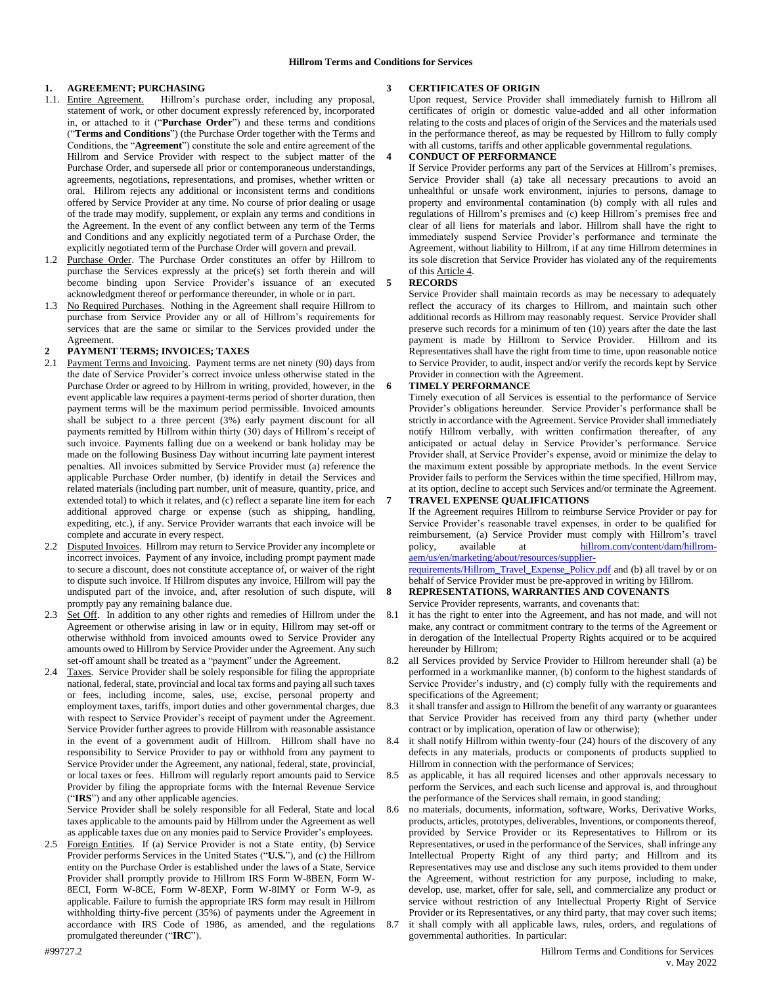# **1. AGREEMENT; PURCHASING**

- 1.1. Entire Agreement. Hillrom's purchase order, including any proposal, statement of work, or other document expressly referenced by, incorporated in, or attached to it ("**Purchase Order**") and these terms and conditions ("**Terms and Conditions**") (the Purchase Order together with the Terms and Conditions, the "**Agreement**") constitute the sole and entire agreement of the Hillrom and Service Provider with respect to the subject matter of the Purchase Order, and supersede all prior or contemporaneous understandings, agreements, negotiations, representations, and promises, whether written or oral. Hillrom rejects any additional or inconsistent terms and conditions offered by Service Provider at any time. No course of prior dealing or usage of the trade may modify, supplement, or explain any terms and conditions in the Agreement. In the event of any conflict between any term of the Terms and Conditions and any explicitly negotiated term of a Purchase Order, the explicitly negotiated term of the Purchase Order will govern and prevail.
- 1.2 Purchase Order. The Purchase Order constitutes an offer by Hillrom to purchase the Services expressly at the price(s) set forth therein and will become binding upon Service Provider's issuance of an executed acknowledgment thereof or performance thereunder, in whole or in part.
- 1.3 No Required Purchases. Nothing in the Agreement shall require Hillrom to purchase from Service Provider any or all of Hillrom's requirements for services that are the same or similar to the Services provided under the Agreement.

#### **2 PAYMENT TERMS; INVOICES; TAXES**

- 2.1 Payment Terms and Invoicing. Payment terms are net ninety (90) days from the date of Service Provider's correct invoice unless otherwise stated in the Purchase Order or agreed to by Hillrom in writing, provided, however, in the event applicable law requires a payment-terms period of shorter duration, then payment terms will be the maximum period permissible. Invoiced amounts shall be subject to a three percent (3%) early payment discount for all payments remitted by Hillrom within thirty (30) days of Hillrom's receipt of such invoice. Payments falling due on a weekend or bank holiday may be made on the following Business Day without incurring late payment interest penalties. All invoices submitted by Service Provider must (a) reference the applicable Purchase Order number, (b) identify in detail the Services and related materials (including part number, unit of measure, quantity, price, and extended total) to which it relates, and (c) reflect a separate line item for each additional approved charge or expense (such as shipping, handling, expediting, etc.), if any. Service Provider warrants that each invoice will be complete and accurate in every respect.
- 2.2 Disputed Invoices. Hillrom may return to Service Provider any incomplete or incorrect invoices. Payment of any invoice, including prompt payment made to secure a discount, does not constitute acceptance of, or waiver of the right to dispute such invoice. If Hillrom disputes any invoice, Hillrom will pay the undisputed part of the invoice, and, after resolution of such dispute, will promptly pay any remaining balance due.
- 2.3 Set Off. In addition to any other rights and remedies of Hillrom under the Agreement or otherwise arising in law or in equity, Hillrom may set-off or otherwise withhold from invoiced amounts owed to Service Provider any amounts owed to Hillrom by Service Provider under the Agreement. Any such set-off amount shall be treated as a "payment" under the Agreement.
- 2.4 Taxes. Service Provider shall be solely responsible for filing the appropriate national, federal, state, provincial and local tax forms and paying all such taxes or fees, including income, sales, use, excise, personal property and employment taxes, tariffs, import duties and other governmental charges, due with respect to Service Provider's receipt of payment under the Agreement. Service Provider further agrees to provide Hillrom with reasonable assistance in the event of a government audit of Hillrom. Hillrom shall have no responsibility to Service Provider to pay or withhold from any payment to Service Provider under the Agreement, any national, federal, state, provincial, or local taxes or fees. Hillrom will regularly report amounts paid to Service Provider by filing the appropriate forms with the Internal Revenue Service ("**IRS**") and any other applicable agencies.

Service Provider shall be solely responsible for all Federal, State and local taxes applicable to the amounts paid by Hillrom under the Agreement as well as applicable taxes due on any monies paid to Service Provider's employees.

2.5 Foreign Entities. If (a) Service Provider is not a State entity, (b) Service Provider performs Services in the United States ("**U.S.**"), and (c) the Hillrom entity on the Purchase Order is established under the laws of a State, Service Provider shall promptly provide to Hillrom IRS Form W-8BEN, Form W-8ECI, Form W-8CE, Form W-8EXP, Form W-8IMY or Form W-9, as applicable. Failure to furnish the appropriate IRS form may result in Hillrom withholding thirty-five percent (35%) of payments under the Agreement in accordance with IRS Code of 1986, as amended, and the regulations promulgated thereunder ("**IRC**").

# **3 CERTIFICATES OF ORIGIN**

Upon request, Service Provider shall immediately furnish to Hillrom all certificates of origin or domestic value-added and all other information relating to the costs and places of origin of the Services and the materials used in the performance thereof, as may be requested by Hillrom to fully comply with all customs, tariffs and other applicable governmental regulations.

# **4 CONDUCT OF PERFORMANCE**

If Service Provider performs any part of the Services at Hillrom's premises, Service Provider shall (a) take all necessary precautions to avoid an unhealthful or unsafe work environment, injuries to persons, damage to property and environmental contamination (b) comply with all rules and regulations of Hillrom's premises and (c) keep Hillrom's premises free and clear of all liens for materials and labor. Hillrom shall have the right to immediately suspend Service Provider's performance and terminate the Agreement, without liability to Hillrom, if at any time Hillrom determines in its sole discretion that Service Provider has violated any of the requirements of this Article 4.

#### **5 RECORDS**

Service Provider shall maintain records as may be necessary to adequately reflect the accuracy of its charges to Hillrom, and maintain such other additional records as Hillrom may reasonably request. Service Provider shall preserve such records for a minimum of ten (10) years after the date the last payment is made by Hillrom to Service Provider. Hillrom and its Representatives shall have the right from time to time, upon reasonable notice to Service Provider, to audit, inspect and/or verify the records kept by Service Provider in connection with the Agreement.

## **6 TIMELY PERFORMANCE**

Timely execution of all Services is essential to the performance of Service Provider's obligations hereunder. Service Provider's performance shall be strictly in accordance with the Agreement. Service Provider shall immediately notify Hillrom verbally, with written confirmation thereafter, of any anticipated or actual delay in Service Provider's performance. Service Provider shall, at Service Provider's expense, avoid or minimize the delay to the maximum extent possible by appropriate methods. In the event Service Provider fails to perform the Services within the time specified, Hillrom may, at its option, decline to accept such Services and/or terminate the Agreement.

**7 TRAVEL EXPENSE QUALIFICATIONS**

If the Agreement requires Hillrom to reimburse Service Provider or pay for Service Provider's reasonable travel expenses, in order to be qualified for reimbursement, (a) Service Provider must comply with Hillrom's travel policy, available at [hillrom.com/content/dam/hillrom](https://www.hillrom.com/content/dam/hillrom-aem/us/en/marketing/about/resources/supplier-requirements/Hillrom_Travel_Expense_Policy.pdf)[aem/us/en/marketing/about/resources/supplier](https://www.hillrom.com/content/dam/hillrom-aem/us/en/marketing/about/resources/supplier-requirements/Hillrom_Travel_Expense_Policy.pdf)[requirements/Hillrom\\_Travel\\_Expense\\_Policy.pdf](https://www.hillrom.com/content/dam/hillrom-aem/us/en/marketing/about/resources/supplier-requirements/Hillrom_Travel_Expense_Policy.pdf) and (b) all travel by or on

behalf of Service Provider must be pre-approved in writing by Hillrom.

#### **8 REPRESENTATIONS, WARRANTIES AND COVENANTS** Service Provider represents, warrants, and covenants that:

- it has the right to enter into the Agreement, and has not made, and will not make, any contract or commitment contrary to the terms of the Agreement or in derogation of the Intellectual Property Rights acquired or to be acquired hereunder by Hillrom;
- 8.2 all Services provided by Service Provider to Hillrom hereunder shall (a) be performed in a workmanlike manner, (b) conform to the highest standards of Service Provider's industry, and (c) comply fully with the requirements and specifications of the Agreement;
- it shall transfer and assign to Hillrom the benefit of any warranty or guarantees that Service Provider has received from any third party (whether under contract or by implication, operation of law or otherwise);
- it shall notify Hillrom within twenty-four (24) hours of the discovery of any defects in any materials, products or components of products supplied to Hillrom in connection with the performance of Services;
- 8.5 as applicable, it has all required licenses and other approvals necessary to perform the Services, and each such license and approval is, and throughout the performance of the Services shall remain, in good standing;
- 8.6 no materials, documents, information, software, Works, Derivative Works, products, articles, prototypes, deliverables, Inventions, or components thereof, provided by Service Provider or its Representatives to Hillrom or its Representatives, or used in the performance of the Services, shall infringe any Intellectual Property Right of any third party; and Hillrom and its Representatives may use and disclose any such items provided to them under the Agreement, without restriction for any purpose, including to make, develop, use, market, offer for sale, sell, and commercialize any product or service without restriction of any Intellectual Property Right of Service Provider or its Representatives, or any third party, that may cover such items; 8.7 it shall comply with all applicable laws, rules, orders, and regulations of
- governmental authorities. In particular: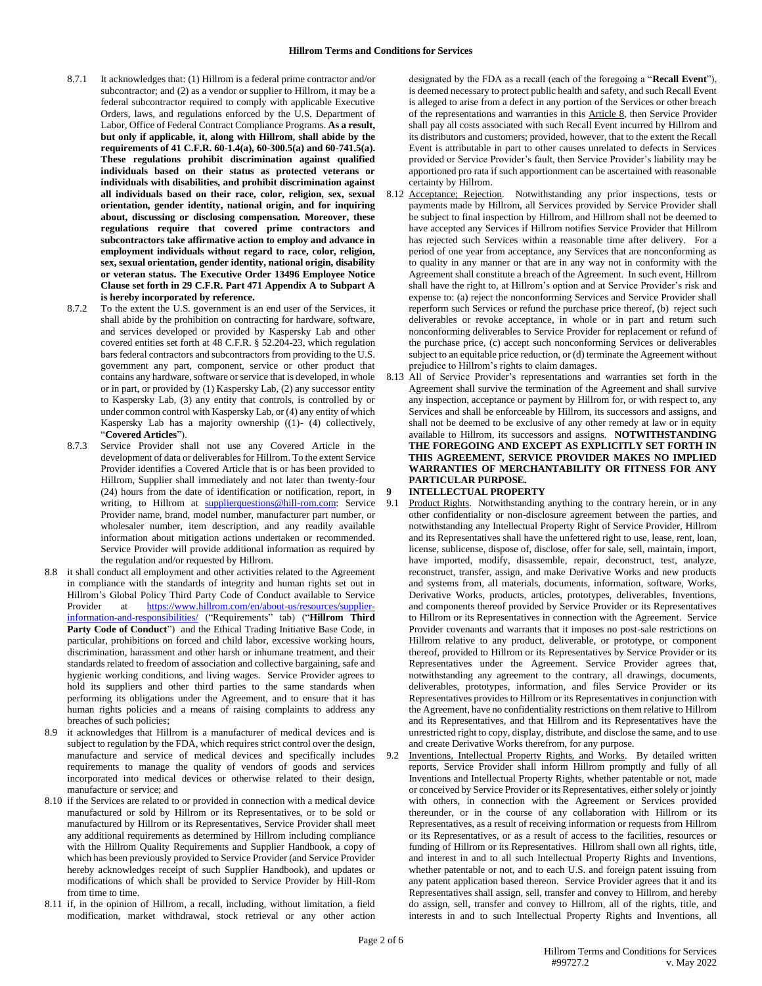- 8.7.1 It acknowledges that: (1) Hillrom is a federal prime contractor and/or subcontractor; and (2) as a vendor or supplier to Hillrom, it may be a federal subcontractor required to comply with applicable Executive Orders, laws, and regulations enforced by the U.S. Department of Labor, Office of Federal Contract Compliance Programs. **As a result, but only if applicable, it, along with Hillrom, shall abide by the requirements of 41 C.F.R. 60-1.4(a), 60-300.5(a) and 60-741.5(a). These regulations prohibit discrimination against qualified individuals based on their status as protected veterans or individuals with disabilities, and prohibit discrimination against all individuals based on their race, color, religion, sex, sexual orientation, gender identity, national origin, and for inquiring about, discussing or disclosing compensation. Moreover, these regulations require that covered prime contractors and subcontractors take affirmative action to employ and advance in employment individuals without regard to race, color, religion, sex, sexual orientation, gender identity, national origin, disability or veteran status. The Executive Order 13496 Employee Notice Clause set forth in 29 C.F.R. Part 471 Appendix A to Subpart A is hereby incorporated by reference.**
- 8.7.2 To the extent the U.S. government is an end user of the Services, it shall abide by the prohibition on contracting for hardware, software, and services developed or provided by Kaspersky Lab and other covered entities set forth at 48 C.F.R. § 52.204-23, which regulation bars federal contractors and subcontractors from providing to the U.S. government any part, component, service or other product that contains any hardware, software or service that is developed, in whole or in part, or provided by (1) Kaspersky Lab, (2) any successor entity to Kaspersky Lab, (3) any entity that controls, is controlled by or under common control with Kaspersky Lab, or (4) any entity of which Kaspersky Lab has a majority ownership ((1)- (4) collectively, "**Covered Articles**").
- 8.7.3 Service Provider shall not use any Covered Article in the development of data or deliverables for Hillrom. To the extent Service Provider identifies a Covered Article that is or has been provided to Hillrom, Supplier shall immediately and not later than twenty-four (24) hours from the date of identification or notification, report, in writing, to Hillrom at [supplierquestions@hill-rom.com:](mailto:supplierquestions@hill-rom.com) Service Provider name, brand, model number, manufacturer part number, or wholesaler number, item description, and any readily available information about mitigation actions undertaken or recommended. Service Provider will provide additional information as required by the regulation and/or requested by Hillrom.
- 8.8 it shall conduct all employment and other activities related to the Agreement in compliance with the standards of integrity and human rights set out in Hillrom's Global Policy Third Party Code of Conduct available to Service Provider at [https://www.hillrom.com/en/about-us/resources/supplier](https://www.hillrom.com/en/about-us/resources/supplier-information-and-responsibilities/)[information-and-responsibilities/](https://www.hillrom.com/en/about-us/resources/supplier-information-and-responsibilities/) ("Requirements" tab) ("**Hillrom Third**  Party Code of Conduct") and the Ethical Trading Initiative Base Code, in particular, prohibitions on forced and child labor, excessive working hours, discrimination, harassment and other harsh or inhumane treatment, and their standards related to freedom of association and collective bargaining, safe and hygienic working conditions, and living wages. Service Provider agrees to hold its suppliers and other third parties to the same standards when performing its obligations under the Agreement, and to ensure that it has human rights policies and a means of raising complaints to address any breaches of such policies;
- it acknowledges that Hillrom is a manufacturer of medical devices and is subject to regulation by the FDA, which requires strict control over the design, manufacture and service of medical devices and specifically includes requirements to manage the quality of vendors of goods and services incorporated into medical devices or otherwise related to their design, manufacture or service; and
- 8.10 if the Services are related to or provided in connection with a medical device manufactured or sold by Hillrom or its Representatives, or to be sold or manufactured by Hillrom or its Representatives, Service Provider shall meet any additional requirements as determined by Hillrom including compliance with the Hillrom Quality Requirements and Supplier Handbook, a copy of which has been previously provided to Service Provider (and Service Provider hereby acknowledges receipt of such Supplier Handbook), and updates or modifications of which shall be provided to Service Provider by Hill-Rom from time to time.
- 8.11 if, in the opinion of Hillrom, a recall, including, without limitation, a field modification, market withdrawal, stock retrieval or any other action

designated by the FDA as a recall (each of the foregoing a "**Recall Event**"), is deemed necessary to protect public health and safety, and such Recall Event is alleged to arise from a defect in any portion of the Services or other breach of the representations and warranties in this Article 8, then Service Provider shall pay all costs associated with such Recall Event incurred by Hillrom and its distributors and customers; provided, however, that to the extent the Recall Event is attributable in part to other causes unrelated to defects in Services provided or Service Provider's fault, then Service Provider's liability may be apportioned pro rata if such apportionment can be ascertained with reasonable certainty by Hillrom.

- 8.12 Acceptance; Rejection. Notwithstanding any prior inspections, tests or payments made by Hillrom, all Services provided by Service Provider shall be subject to final inspection by Hillrom, and Hillrom shall not be deemed to have accepted any Services if Hillrom notifies Service Provider that Hillrom has rejected such Services within a reasonable time after delivery. For a period of one year from acceptance, any Services that are nonconforming as to quality in any manner or that are in any way not in conformity with the Agreement shall constitute a breach of the Agreement. In such event, Hillrom shall have the right to, at Hillrom's option and at Service Provider's risk and expense to: (a) reject the nonconforming Services and Service Provider shall reperform such Services or refund the purchase price thereof, (b) reject such deliverables or revoke acceptance, in whole or in part and return such nonconforming deliverables to Service Provider for replacement or refund of the purchase price, (c) accept such nonconforming Services or deliverables subject to an equitable price reduction, or (d) terminate the Agreement without prejudice to Hillrom's rights to claim damages.
- 8.13 All of Service Provider's representations and warranties set forth in the Agreement shall survive the termination of the Agreement and shall survive any inspection, acceptance or payment by Hillrom for, or with respect to, any Services and shall be enforceable by Hillrom, its successors and assigns, and shall not be deemed to be exclusive of any other remedy at law or in equity available to Hillrom, its successors and assigns. **NOTWITHSTANDING THE FOREGOING AND EXCEPT AS EXPLICITLY SET FORTH IN THIS AGREEMENT, SERVICE PROVIDER MAKES NO IMPLIED WARRANTIES OF MERCHANTABILITY OR FITNESS FOR ANY PARTICULAR PURPOSE.**
- **9 INTELLECTUAL PROPERTY**
	- Product Rights. Notwithstanding anything to the contrary herein, or in any other confidentiality or non-disclosure agreement between the parties, and notwithstanding any Intellectual Property Right of Service Provider, Hillrom and its Representatives shall have the unfettered right to use, lease, rent, loan, license, sublicense, dispose of, disclose, offer for sale, sell, maintain, import, have imported, modify, disassemble, repair, deconstruct, test, analyze, reconstruct, transfer, assign, and make Derivative Works and new products and systems from, all materials, documents, information, software, Works, Derivative Works, products, articles, prototypes, deliverables, Inventions, and components thereof provided by Service Provider or its Representatives to Hillrom or its Representatives in connection with the Agreement. Service Provider covenants and warrants that it imposes no post-sale restrictions on Hillrom relative to any product, deliverable, or prototype, or component thereof, provided to Hillrom or its Representatives by Service Provider or its Representatives under the Agreement. Service Provider agrees that, notwithstanding any agreement to the contrary, all drawings, documents, deliverables, prototypes, information, and files Service Provider or its Representatives provides to Hillrom or its Representatives in conjunction with the Agreement, have no confidentiality restrictions on them relative to Hillrom and its Representatives, and that Hillrom and its Representatives have the unrestricted right to copy, display, distribute, and disclose the same, and to use and create Derivative Works therefrom, for any purpose.
- 9.2 Inventions, Intellectual Property Rights, and Works. By detailed written reports, Service Provider shall inform Hillrom promptly and fully of all Inventions and Intellectual Property Rights, whether patentable or not, made or conceived by Service Provider or its Representatives, either solely or jointly with others, in connection with the Agreement or Services provided thereunder, or in the course of any collaboration with Hillrom or its Representatives, as a result of receiving information or requests from Hillrom or its Representatives, or as a result of access to the facilities, resources or funding of Hillrom or its Representatives. Hillrom shall own all rights, title, and interest in and to all such Intellectual Property Rights and Inventions, whether patentable or not, and to each U.S. and foreign patent issuing from any patent application based thereon. Service Provider agrees that it and its Representatives shall assign, sell, transfer and convey to Hillrom, and hereby do assign, sell, transfer and convey to Hillrom, all of the rights, title, and interests in and to such Intellectual Property Rights and Inventions, all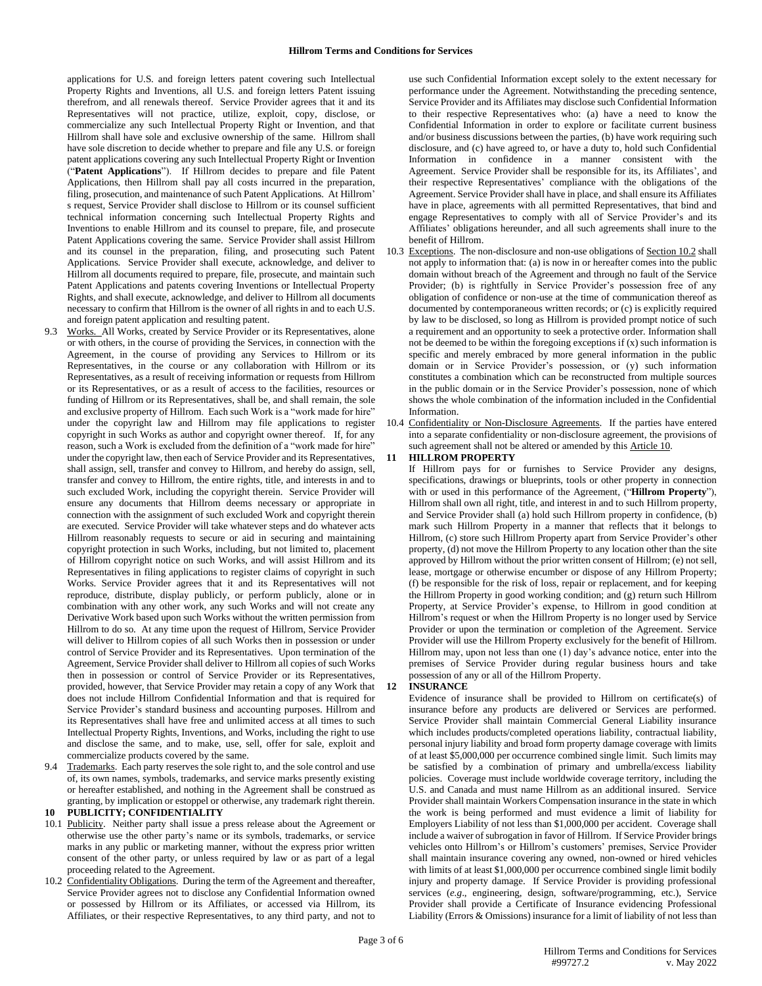applications for U.S. and foreign letters patent covering such Intellectual Property Rights and Inventions, all U.S. and foreign letters Patent issuing therefrom, and all renewals thereof. Service Provider agrees that it and its Representatives will not practice, utilize, exploit, copy, disclose, or commercialize any such Intellectual Property Right or Invention, and that Hillrom shall have sole and exclusive ownership of the same. Hillrom shall have sole discretion to decide whether to prepare and file any U.S. or foreign patent applications covering any such Intellectual Property Right or Invention ("**Patent Applications**"). If Hillrom decides to prepare and file Patent Applications, then Hillrom shall pay all costs incurred in the preparation, filing, prosecution, and maintenance of such Patent Applications. At Hillrom' s request, Service Provider shall disclose to Hillrom or its counsel sufficient technical information concerning such Intellectual Property Rights and Inventions to enable Hillrom and its counsel to prepare, file, and prosecute Patent Applications covering the same. Service Provider shall assist Hillrom and its counsel in the preparation, filing, and prosecuting such Patent Applications. Service Provider shall execute, acknowledge, and deliver to Hillrom all documents required to prepare, file, prosecute, and maintain such Patent Applications and patents covering Inventions or Intellectual Property Rights, and shall execute, acknowledge, and deliver to Hillrom all documents necessary to confirm that Hillrom is the owner of all rights in and to each U.S. and foreign patent application and resulting patent.

- 9.3 Works. All Works, created by Service Provider or its Representatives, alone or with others, in the course of providing the Services, in connection with the Agreement, in the course of providing any Services to Hillrom or its Representatives, in the course or any collaboration with Hillrom or its Representatives, as a result of receiving information or requests from Hillrom or its Representatives, or as a result of access to the facilities, resources or funding of Hillrom or its Representatives, shall be, and shall remain, the sole and exclusive property of Hillrom. Each such Work is a "work made for hire" under the copyright law and Hillrom may file applications to register copyright in such Works as author and copyright owner thereof. If, for any reason, such a Work is excluded from the definition of a "work made for hire" under the copyright law, then each of Service Provider and its Representatives, shall assign, sell, transfer and convey to Hillrom, and hereby do assign, sell, transfer and convey to Hillrom, the entire rights, title, and interests in and to such excluded Work, including the copyright therein. Service Provider will ensure any documents that Hillrom deems necessary or appropriate in connection with the assignment of such excluded Work and copyright therein are executed. Service Provider will take whatever steps and do whatever acts Hillrom reasonably requests to secure or aid in securing and maintaining copyright protection in such Works, including, but not limited to, placement of Hillrom copyright notice on such Works, and will assist Hillrom and its Representatives in filing applications to register claims of copyright in such Works. Service Provider agrees that it and its Representatives will not reproduce, distribute, display publicly, or perform publicly, alone or in combination with any other work, any such Works and will not create any Derivative Work based upon such Works without the written permission from Hillrom to do so. At any time upon the request of Hillrom, Service Provider will deliver to Hillrom copies of all such Works then in possession or under control of Service Provider and its Representatives. Upon termination of the Agreement, Service Provider shall deliver to Hillrom all copies of such Works then in possession or control of Service Provider or its Representatives, provided, however, that Service Provider may retain a copy of any Work that does not include Hillrom Confidential Information and that is required for Service Provider's standard business and accounting purposes. Hillrom and its Representatives shall have free and unlimited access at all times to such Intellectual Property Rights, Inventions, and Works, including the right to use and disclose the same, and to make, use, sell, offer for sale, exploit and commercialize products covered by the same.
- 9.4 Trademarks. Each party reserves the sole right to, and the sole control and use of, its own names, symbols, trademarks, and service marks presently existing or hereafter established, and nothing in the Agreement shall be construed as granting, by implication or estoppel or otherwise, any trademark right therein.

# **10 PUBLICITY; CONFIDENTIALITY**

- 10.1 Publicity. Neither party shall issue a press release about the Agreement or otherwise use the other party's name or its symbols, trademarks, or service marks in any public or marketing manner, without the express prior written consent of the other party, or unless required by law or as part of a legal proceeding related to the Agreement.
- 10.2 Confidentiality Obligations. During the term of the Agreement and thereafter, Service Provider agrees not to disclose any Confidential Information owned or possessed by Hillrom or its Affiliates, or accessed via Hillrom, its Affiliates, or their respective Representatives, to any third party, and not to

use such Confidential Information except solely to the extent necessary for performance under the Agreement. Notwithstanding the preceding sentence, Service Provider and its Affiliates may disclose such Confidential Information to their respective Representatives who: (a) have a need to know the Confidential Information in order to explore or facilitate current business and/or business discussions between the parties, (b) have work requiring such disclosure, and (c) have agreed to, or have a duty to, hold such Confidential Information in confidence in a manner consistent with the Agreement. Service Provider shall be responsible for its, its Affiliates', and their respective Representatives' compliance with the obligations of the Agreement. Service Provider shall have in place, and shall ensure its Affiliates have in place, agreements with all permitted Representatives, that bind and engage Representatives to comply with all of Service Provider's and its Affiliates' obligations hereunder, and all such agreements shall inure to the benefit of Hillrom.

- 10.3 Exceptions. The non-disclosure and non-use obligations of Section 10.2 shall not apply to information that: (a) is now in or hereafter comes into the public domain without breach of the Agreement and through no fault of the Service Provider; (b) is rightfully in Service Provider's possession free of any obligation of confidence or non-use at the time of communication thereof as documented by contemporaneous written records; or (c) is explicitly required by law to be disclosed, so long as Hillrom is provided prompt notice of such a requirement and an opportunity to seek a protective order. Information shall not be deemed to be within the foregoing exceptions if (x) such information is specific and merely embraced by more general information in the public domain or in Service Provider's possession, or (y) such information constitutes a combination which can be reconstructed from multiple sources in the public domain or in the Service Provider's possession, none of which shows the whole combination of the information included in the Confidential Information.
- 10.4 Confidentiality or Non-Disclosure Agreements. If the parties have entered into a separate confidentiality or non-disclosure agreement, the provisions of such agreement shall not be altered or amended by this Article 10.

#### **11 HILLROM PROPERTY**

If Hillrom pays for or furnishes to Service Provider any designs, specifications, drawings or blueprints, tools or other property in connection with or used in this performance of the Agreement, ("**Hillrom Property**"), Hillrom shall own all right, title, and interest in and to such Hillrom property, and Service Provider shall (a) hold such Hillrom property in confidence, (b) mark such Hillrom Property in a manner that reflects that it belongs to Hillrom, (c) store such Hillrom Property apart from Service Provider's other property, (d) not move the Hillrom Property to any location other than the site approved by Hillrom without the prior written consent of Hillrom; (e) not sell, lease, mortgage or otherwise encumber or dispose of any Hillrom Property; (f) be responsible for the risk of loss, repair or replacement, and for keeping the Hillrom Property in good working condition; and (g) return such Hillrom Property, at Service Provider's expense, to Hillrom in good condition at Hillrom's request or when the Hillrom Property is no longer used by Service Provider or upon the termination or completion of the Agreement. Service Provider will use the Hillrom Property exclusively for the benefit of Hillrom. Hillrom may, upon not less than one (1) day's advance notice, enter into the premises of Service Provider during regular business hours and take possession of any or all of the Hillrom Property.

# **12 INSURANCE**

Evidence of insurance shall be provided to Hillrom on certificate(s) of insurance before any products are delivered or Services are performed. Service Provider shall maintain Commercial General Liability insurance which includes products/completed operations liability, contractual liability, personal injury liability and broad form property damage coverage with limits of at least \$5,000,000 per occurrence combined single limit. Such limits may be satisfied by a combination of primary and umbrella/excess liability policies. Coverage must include worldwide coverage territory, including the U.S. and Canada and must name Hillrom as an additional insured. Service Provider shall maintain Workers Compensation insurance in the state in which the work is being performed and must evidence a limit of liability for Employers Liability of not less than \$1,000,000 per accident. Coverage shall include a waiver of subrogation in favor of Hillrom. If Service Provider brings vehicles onto Hillrom's or Hillrom's customers' premises, Service Provider shall maintain insurance covering any owned, non-owned or hired vehicles with limits of at least \$1,000,000 per occurrence combined single limit bodily injury and property damage. If Service Provider is providing professional services (*e.g*., engineering, design, software/programming, etc.), Service Provider shall provide a Certificate of Insurance evidencing Professional Liability (Errors & Omissions) insurance for a limit of liability of not less than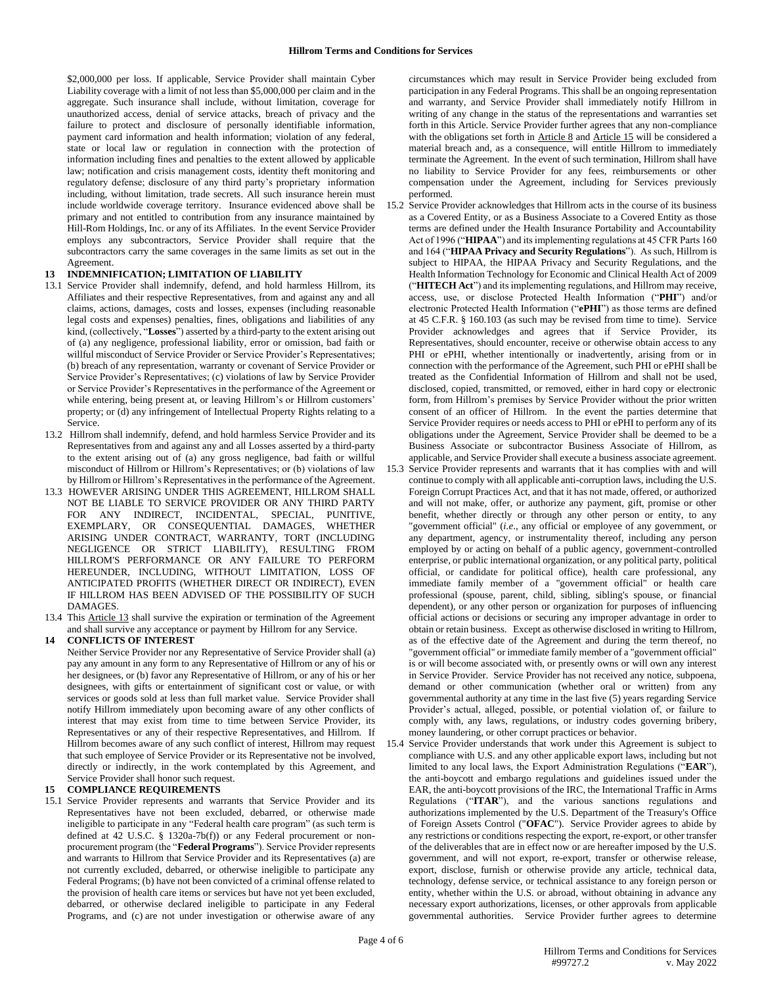\$2,000,000 per loss. If applicable, Service Provider shall maintain Cyber Liability coverage with a limit of not less than \$5,000,000 per claim and in the aggregate. Such insurance shall include, without limitation, coverage for unauthorized access, denial of service attacks, breach of privacy and the failure to protect and disclosure of personally identifiable information, payment card information and health information; violation of any federal, state or local law or regulation in connection with the protection of information including fines and penalties to the extent allowed by applicable law; notification and crisis management costs, identity theft monitoring and regulatory defense; disclosure of any third party's proprietary information including, without limitation, trade secrets. All such insurance herein must include worldwide coverage territory. Insurance evidenced above shall be primary and not entitled to contribution from any insurance maintained by Hill-Rom Holdings, Inc. or any of its Affiliates. In the event Service Provider employs any subcontractors, Service Provider shall require that the subcontractors carry the same coverages in the same limits as set out in the Agreement.

# **13 INDEMNIFICATION; LIMITATION OF LIABILITY**

- 13.1 Service Provider shall indemnify, defend, and hold harmless Hillrom, its Affiliates and their respective Representatives, from and against any and all claims, actions, damages, costs and losses, expenses (including reasonable legal costs and expenses) penalties, fines, obligations and liabilities of any kind, (collectively, "**Losses**") asserted by a third-party to the extent arising out of (a) any negligence, professional liability, error or omission, bad faith or willful misconduct of Service Provider or Service Provider's Representatives; (b) breach of any representation, warranty or covenant of Service Provider or Service Provider's Representatives; (c) violations of law by Service Provider or Service Provider's Representatives in the performance of the Agreement or while entering, being present at, or leaving Hillrom's or Hillrom customers' property; or (d) any infringement of Intellectual Property Rights relating to a Service.
- 13.2 Hillrom shall indemnify, defend, and hold harmless Service Provider and its Representatives from and against any and all Losses asserted by a third-party to the extent arising out of (a) any gross negligence, bad faith or willful misconduct of Hillrom or Hillrom's Representatives; or (b) violations of law by Hillrom or Hillrom's Representatives in the performance of the Agreement.
- 13.3 HOWEVER ARISING UNDER THIS AGREEMENT, HILLROM SHALL NOT BE LIABLE TO SERVICE PROVIDER OR ANY THIRD PARTY FOR ANY INDIRECT, INCIDENTAL, SPECIAL, PUNITIVE, EXEMPLARY, OR CONSEQUENTIAL DAMAGES, WHETHER ARISING UNDER CONTRACT, WARRANTY, TORT (INCLUDING NEGLIGENCE OR STRICT LIABILITY), RESULTING FROM HILLROM'S PERFORMANCE OR ANY FAILURE TO PERFORM HEREUNDER, INCLUDING, WITHOUT LIMITATION, LOSS OF ANTICIPATED PROFITS (WHETHER DIRECT OR INDIRECT), EVEN IF HILLROM HAS BEEN ADVISED OF THE POSSIBILITY OF SUCH DAMAGES.
- 13.4 This Article 13 shall survive the expiration or termination of the Agreement and shall survive any acceptance or payment by Hillrom for any Service.

## **14 CONFLICTS OF INTEREST**

Neither Service Provider nor any Representative of Service Provider shall (a) pay any amount in any form to any Representative of Hillrom or any of his or her designees, or (b) favor any Representative of Hillrom, or any of his or her designees, with gifts or entertainment of significant cost or value, or with services or goods sold at less than full market value. Service Provider shall notify Hillrom immediately upon becoming aware of any other conflicts of interest that may exist from time to time between Service Provider, its Representatives or any of their respective Representatives, and Hillrom. If Hillrom becomes aware of any such conflict of interest, Hillrom may request that such employee of Service Provider or its Representative not be involved, directly or indirectly, in the work contemplated by this Agreement, and Service Provider shall honor such request.

# **15 COMPLIANCE REQUIREMENTS**

15.1 Service Provider represents and warrants that Service Provider and its Representatives have not been excluded, debarred, or otherwise made ineligible to participate in any "Federal health care program" (as such term is defined at 42 U.S.C. § 1320a-7b(f)) or any Federal procurement or nonprocurement program (the "**Federal Programs**"). Service Provider represents and warrants to Hillrom that Service Provider and its Representatives (a) are not currently excluded, debarred, or otherwise ineligible to participate any Federal Programs; (b) have not been convicted of a criminal offense related to the provision of health care items or services but have not yet been excluded, debarred, or otherwise declared ineligible to participate in any Federal Programs, and (c) are not under investigation or otherwise aware of any

circumstances which may result in Service Provider being excluded from participation in any Federal Programs. This shall be an ongoing representation and warranty, and Service Provider shall immediately notify Hillrom in writing of any change in the status of the representations and warranties set forth in this Article. Service Provider further agrees that any non-compliance with the obligations set forth in Article 8 and Article 15 will be considered a material breach and, as a consequence, will entitle Hillrom to immediately terminate the Agreement. In the event of such termination, Hillrom shall have no liability to Service Provider for any fees, reimbursements or other compensation under the Agreement, including for Services previously performed.

- 15.2 Service Provider acknowledges that Hillrom acts in the course of its business as a Covered Entity, or as a Business Associate to a Covered Entity as those terms are defined under the Health Insurance Portability and Accountability Act of 1996 ("**HIPAA**") and its implementing regulations at 45 CFR Parts 160 and 164 ("**HIPAA Privacy and Security Regulations**"). As such, Hillrom is subject to HIPAA, the HIPAA Privacy and Security Regulations, and the Health Information Technology for Economic and Clinical Health Act of 2009 ("**HITECH Act**") and its implementing regulations, and Hillrom may receive, access, use, or disclose Protected Health Information ("**PHI**") and/or electronic Protected Health Information ("**ePHI**") as those terms are defined at 45 C.F.R. § 160.103 (as such may be revised from time to time). Service Provider acknowledges and agrees that if Service Provider, its Representatives, should encounter, receive or otherwise obtain access to any PHI or ePHI, whether intentionally or inadvertently, arising from or in connection with the performance of the Agreement, such PHI or ePHI shall be treated as the Confidential Information of Hillrom and shall not be used, disclosed, copied, transmitted, or removed, either in hard copy or electronic form, from Hillrom's premises by Service Provider without the prior written consent of an officer of Hillrom. In the event the parties determine that Service Provider requires or needs access to PHI or ePHI to perform any of its obligations under the Agreement, Service Provider shall be deemed to be a Business Associate or subcontractor Business Associate of Hillrom, as applicable, and Service Provider shall execute a business associate agreement.
- 15.3 Service Provider represents and warrants that it has complies with and will continue to comply with all applicable anti-corruption laws, including the U.S. Foreign Corrupt Practices Act, and that it has not made, offered, or authorized and will not make, offer, or authorize any payment, gift, promise or other benefit, whether directly or through any other person or entity, to any "government official" (*i.e*., any official or employee of any government, or any department, agency, or instrumentality thereof, including any person employed by or acting on behalf of a public agency, government-controlled enterprise, or public international organization, or any political party, political official, or candidate for political office), health care professional, any immediate family member of a "government official" or health care professional (spouse, parent, child, sibling, sibling's spouse, or financial dependent), or any other person or organization for purposes of influencing official actions or decisions or securing any improper advantage in order to obtain or retain business. Except as otherwise disclosed in writing to Hillrom, as of the effective date of the Agreement and during the term thereof, no "government official" or immediate family member of a "government official" is or will become associated with, or presently owns or will own any interest in Service Provider. Service Provider has not received any notice, subpoena, demand or other communication (whether oral or written) from any governmental authority at any time in the last five (5) years regarding Service Provider's actual, alleged, possible, or potential violation of, or failure to comply with, any laws, regulations, or industry codes governing bribery, money laundering, or other corrupt practices or behavior.
- 15.4 Service Provider understands that work under this Agreement is subject to compliance with U.S. and any other applicable export laws, including but not limited to any local laws, the Export Administration Regulations ("**EAR**"), the anti-boycott and embargo regulations and guidelines issued under the EAR, the anti-boycott provisions of the IRC, the International Traffic in Arms Regulations ("**ITAR**"), and the various sanctions regulations and authorizations implemented by the U.S. Department of the Treasury's Office of Foreign Assets Control ("**OFAC**"). Service Provider agrees to abide by any restrictions or conditions respecting the export, re-export, or other transfer of the deliverables that are in effect now or are hereafter imposed by the U.S. government, and will not export, re-export, transfer or otherwise release, export, disclose, furnish or otherwise provide any article, technical data, technology, defense service, or technical assistance to any foreign person or entity, whether within the U.S. or abroad, without obtaining in advance any necessary export authorizations, licenses, or other approvals from applicable governmental authorities. Service Provider further agrees to determine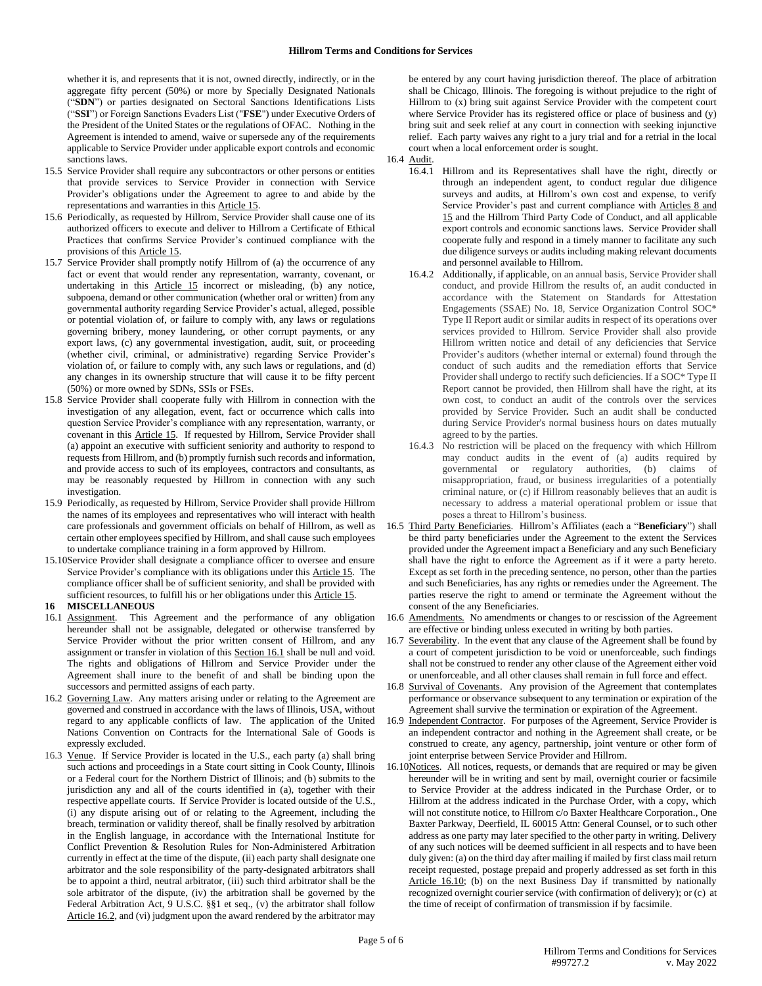whether it is, and represents that it is not, owned directly, indirectly, or in the aggregate fifty percent (50%) or more by Specially Designated Nationals ("**SDN**") or parties designated on Sectoral Sanctions Identifications Lists ("**SSI**") or Foreign Sanctions Evaders List ("**FSE**") under Executive Orders of the President of the United States or the regulations of OFAC. Nothing in the Agreement is intended to amend, waive or supersede any of the requirements applicable to Service Provider under applicable export controls and economic sanctions laws.

- 15.5 Service Provider shall require any subcontractors or other persons or entities that provide services to Service Provider in connection with Service Provider's obligations under the Agreement to agree to and abide by the representations and warranties in this Article 15.
- 15.6 Periodically, as requested by Hillrom, Service Provider shall cause one of its authorized officers to execute and deliver to Hillrom a Certificate of Ethical Practices that confirms Service Provider's continued compliance with the provisions of this Article 15.
- 15.7 Service Provider shall promptly notify Hillrom of (a) the occurrence of any fact or event that would render any representation, warranty, covenant, or undertaking in this Article 15 incorrect or misleading, (b) any notice, subpoena, demand or other communication (whether oral or written) from any governmental authority regarding Service Provider's actual, alleged, possible or potential violation of, or failure to comply with, any laws or regulations governing bribery, money laundering, or other corrupt payments, or any export laws, (c) any governmental investigation, audit, suit, or proceeding (whether civil, criminal, or administrative) regarding Service Provider's violation of, or failure to comply with, any such laws or regulations, and (d) any changes in its ownership structure that will cause it to be fifty percent (50%) or more owned by SDNs, SSIs or FSEs.
- 15.8 Service Provider shall cooperate fully with Hillrom in connection with the investigation of any allegation, event, fact or occurrence which calls into question Service Provider's compliance with any representation, warranty, or covenant in this Article 15. If requested by Hillrom, Service Provider shall (a) appoint an executive with sufficient seniority and authority to respond to requests from Hillrom, and (b) promptly furnish such records and information, and provide access to such of its employees, contractors and consultants, as may be reasonably requested by Hillrom in connection with any such investigation.
- 15.9 Periodically, as requested by Hillrom, Service Provider shall provide Hillrom the names of its employees and representatives who will interact with health care professionals and government officials on behalf of Hillrom, as well as certain other employees specified by Hillrom, and shall cause such employees to undertake compliance training in a form approved by Hillrom.
- 15.10Service Provider shall designate a compliance officer to oversee and ensure Service Provider's compliance with its obligations under this Article 15. The compliance officer shall be of sufficient seniority, and shall be provided with sufficient resources, to fulfill his or her obligations under this Article 15.

#### **16 MISCELLANEOUS**

- 16.1 Assignment. This Agreement and the performance of any obligation hereunder shall not be assignable, delegated or otherwise transferred by Service Provider without the prior written consent of Hillrom, and any assignment or transfer in violation of this Section 16.1 shall be null and void. The rights and obligations of Hillrom and Service Provider under the Agreement shall inure to the benefit of and shall be binding upon the successors and permitted assigns of each party.
- 16.2 Governing Law. Any matters arising under or relating to the Agreement are governed and construed in accordance with the laws of Illinois, USA, without regard to any applicable conflicts of law. The application of the United Nations Convention on Contracts for the International Sale of Goods is expressly excluded.
- 16.3 Venue. If Service Provider is located in the U.S., each party (a) shall bring such actions and proceedings in a State court sitting in Cook County, Illinois or a Federal court for the Northern District of Illinois; and (b) submits to the jurisdiction any and all of the courts identified in (a), together with their respective appellate courts. If Service Provider is located outside of the U.S., (i) any dispute arising out of or relating to the Agreement, including the breach, termination or validity thereof, shall be finally resolved by arbitration in the English language, in accordance with the International Institute for Conflict Prevention & Resolution Rules for Non-Administered Arbitration currently in effect at the time of the dispute, (ii) each party shall designate one arbitrator and the sole responsibility of the party-designated arbitrators shall be to appoint a third, neutral arbitrator, (iii) such third arbitrator shall be the sole arbitrator of the dispute, (iv) the arbitration shall be governed by the Federal Arbitration Act, 9 U.S.C. §§1 et seq., (v) the arbitrator shall follow Article 16.2, and (vi) judgment upon the award rendered by the arbitrator may

be entered by any court having jurisdiction thereof. The place of arbitration shall be Chicago, Illinois. The foregoing is without prejudice to the right of Hillrom to (x) bring suit against Service Provider with the competent court where Service Provider has its registered office or place of business and (y) bring suit and seek relief at any court in connection with seeking injunctive relief. Each party waives any right to a jury trial and for a retrial in the local court when a local enforcement order is sought.

- 16.4 Audit.
	- 16.4.1 Hillrom and its Representatives shall have the right, directly or through an independent agent, to conduct regular due diligence surveys and audits, at Hillrom's own cost and expense, to verify Service Provider's past and current compliance with Articles 8 and 15 and the Hillrom Third Party Code of Conduct, and all applicable export controls and economic sanctions laws. Service Provider shall cooperate fully and respond in a timely manner to facilitate any such due diligence surveys or audits including making relevant documents and personnel available to Hillrom.
	- 16.4.2 Additionally, if applicable, on an annual basis, Service Provider shall conduct, and provide Hillrom the results of, an audit conducted in accordance with the Statement on Standards for Attestation Engagements (SSAE) No. 18, Service Organization Control SOC\* Type II Report audit or similar audits in respect of its operations over services provided to Hillrom. Service Provider shall also provide Hillrom written notice and detail of any deficiencies that Service Provider's auditors (whether internal or external) found through the conduct of such audits and the remediation efforts that Service Provider shall undergo to rectify such deficiencies. If a SOC\* Type II Report cannot be provided, then Hillrom shall have the right, at its own cost, to conduct an audit of the controls over the services provided by Service Provider*.* Such an audit shall be conducted during Service Provider's normal business hours on dates mutually agreed to by the parties.
	- 16.4.3 No restriction will be placed on the frequency with which Hillrom may conduct audits in the event of (a) audits required by governmental or regulatory authorities, (b) claims of misappropriation, fraud, or business irregularities of a potentially criminal nature, or (c) if Hillrom reasonably believes that an audit is necessary to address a material operational problem or issue that poses a threat to Hillrom's business.
- 16.5 Third Party Beneficiaries. Hillrom's Affiliates (each a "**Beneficiary**") shall be third party beneficiaries under the Agreement to the extent the Services provided under the Agreement impact a Beneficiary and any such Beneficiary shall have the right to enforce the Agreement as if it were a party hereto. Except as set forth in the preceding sentence, no person, other than the parties and such Beneficiaries, has any rights or remedies under the Agreement. The parties reserve the right to amend or terminate the Agreement without the consent of the any Beneficiaries.
- 16.6 Amendments. No amendments or changes to or rescission of the Agreement are effective or binding unless executed in writing by both parties.
- 16.7 Severability. In the event that any clause of the Agreement shall be found by a court of competent jurisdiction to be void or unenforceable, such findings shall not be construed to render any other clause of the Agreement either void or unenforceable, and all other clauses shall remain in full force and effect.
- 16.8 Survival of Covenants.Any provision of the Agreement that contemplates performance or observance subsequent to any termination or expiration of the Agreement shall survive the termination or expiration of the Agreement.
- 16.9 Independent Contractor. For purposes of the Agreement, Service Provider is an independent contractor and nothing in the Agreement shall create, or be construed to create, any agency, partnership, joint venture or other form of joint enterprise between Service Provider and Hillrom.
- 16.10Notices. All notices, requests, or demands that are required or may be given hereunder will be in writing and sent by mail, overnight courier or facsimile to Service Provider at the address indicated in the Purchase Order, or to Hillrom at the address indicated in the Purchase Order, with a copy, which will not constitute notice, to Hillrom c/o Baxter Healthcare Corporation., One Baxter Parkway, Deerfield, IL 60015 Attn: General Counsel, or to such other address as one party may later specified to the other party in writing. Delivery of any such notices will be deemed sufficient in all respects and to have been duly given: (a) on the third day after mailing if mailed by first class mail return receipt requested, postage prepaid and properly addressed as set forth in this Article 16.10; (b) on the next Business Day if transmitted by nationally recognized overnight courier service (with confirmation of delivery); or (c) at the time of receipt of confirmation of transmission if by facsimile.